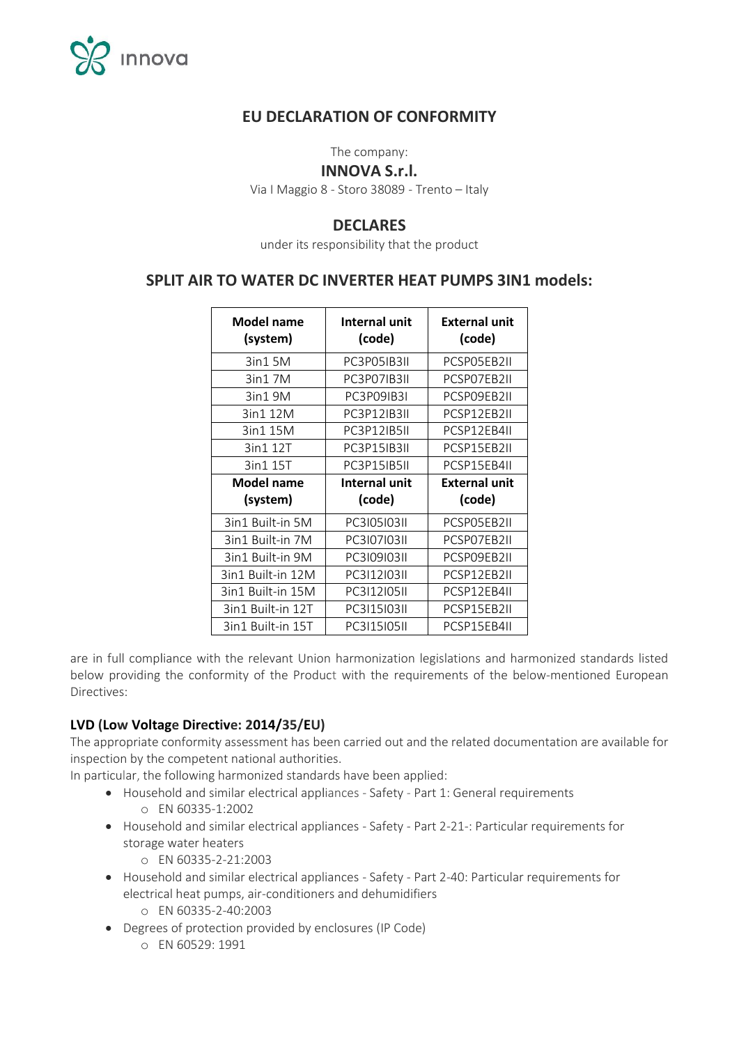

## **EU DECLARATION OF CONFORMITY**

The company:

#### **INNOVA S.r.l.**

Via I Maggio 8 - Storo 38089 - Trento – Italy

### **DECLARES**

under its responsibility that the product

### **SPLIT AIR TO WATER DC INVERTER HEAT PUMPS 3IN1 models:**

| <b>Model name</b><br>(system) | Internal unit<br>(code) | <b>External unit</b><br>(code) |
|-------------------------------|-------------------------|--------------------------------|
| 3in1 5M                       | PC3P05IB3II             | PCSP05EB2II                    |
| 3in1 7M                       | PC3P07IB3II             | PCSP07EB2II                    |
| 3in19M                        | PC3P09IB3I              | PCSP09EB2II                    |
| 3in1 12M                      | PC3P12IB3II             | PCSP12EB2II                    |
| 3in1 15M                      | <b>PC3P12IB5II</b>      | PCSP12EB4II                    |
| 3in1 12T                      | PC3P15IB3II             | PCSP15EB2II                    |
| 3in1 15T                      | PC3P15IB5II             | PCSP15EB4II                    |
|                               |                         |                                |
| Model name                    | Internal unit           | External unit                  |
| (system)                      | (code)                  | (code)                         |
| 3in1 Built-in 5M              | PC310510311             | PCSP05EB2II                    |
| 3in1 Built-in 7M              | PC310710311             | PCSP07EB2II                    |
| 3in1 Built-in 9M              | PC310910311             | PCSP09EB2II                    |
| 3in1 Built-in 12M             | PC311210311             | PCSP12EB2II                    |
| 3in1 Built-in 15M             | PC3I12I05II             | PCSP12EB4II                    |
| 3in1 Built-in 12T             | PC311510311             | PCSP15EB2II                    |

are in full compliance with the relevant Union harmonization legislations and harmonized standards listed below providing the conformity of the Product with the requirements of the below-mentioned European Directives:

#### **LVD (Low Voltage Directive: 2014/35/EU)**

The appropriate conformity assessment has been carried out and the related documentation are available for inspection by the competent national authorities.

In particular, the following harmonized standards have been applied:

- Household and similar electrical appliances Safety Part 1: General requirements o EN 60335-1:2002
- Household and similar electrical appliances Safety Part 2-21-: Particular requirements for storage water heaters
	- o EN 60335-2-21:2003
- Household and similar electrical appliances Safety Part 2-40: Particular requirements for electrical heat pumps, air-conditioners and dehumidifiers o EN 60335-2-40:2003
- Degrees of protection provided by enclosures (IP Code)
	- o EN 60529: 1991